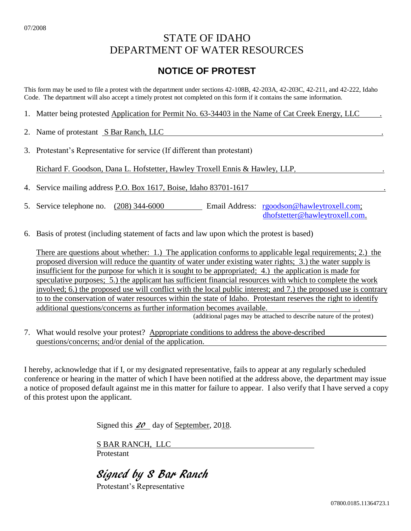# STATE OF IDAHO DEPARTMENT OF WATER RESOURCES

## **NOTICE OF PROTEST**

This form may be used to file a protest with the department under sections 42-108B, 42-203A, 42-203C, 42-211, and 42-222, Idaho Code. The department will also accept a timely protest not completed on this form if it contains the same information.

- 1. Matter being protested Application for Permit No. 63-34403 in the Name of Cat Creek Energy, LLC .
- 2. Name of protestant S Bar Ranch, LLC
- 3. Protestant's Representative for service (If different than protestant)

Richard F. Goodson, Dana L. Hofstetter, Hawley Troxell Ennis & Hawley, LLP, .

4. Service mailing address P.O. Box 1617, Boise, Idaho 83701-1617 .

- 5. Service telephone no. (208) 344-6000 Email Address: [rgoodson@hawleytroxell.com;](mailto:rgoodson@hawleytroxell.com) [dhofstetter@hawleytroxell.com.](mailto:dhofstetter@hawleytroxell.com)
- 6. Basis of protest (including statement of facts and law upon which the protest is based)

There are questions about whether: 1.) The application conforms to applicable legal requirements; 2.) the proposed diversion will reduce the quantity of water under existing water rights; 3.) the water supply is insufficient for the purpose for which it is sought to be appropriated; 4.) the application is made for speculative purposes; 5.) the applicant has sufficient financial resources with which to complete the work involved; 6.) the proposed use will conflict with the local public interest; and 7.) the proposed use is contrary to to the conservation of water resources within the state of Idaho. Protestant reserves the right to identify additional questions/concerns as further information becomes available. .

(additional pages may be attached to describe nature of the protest)

7. What would resolve your protest? Appropriate conditions to address the above-described questions/concerns; and/or denial of the application.

I hereby, acknowledge that if I, or my designated representative, fails to appear at any regularly scheduled conference or hearing in the matter of which I have been notified at the address above, the department may issue a notice of proposed default against me in this matter for failure to appear. I also verify that I have served a copy of this protest upon the applicant.

Signed this  $20$  day of September, 2018.

S BAR RANCH, LLC Protestant

Signed by S Bar Ranch

Protestant's Representative